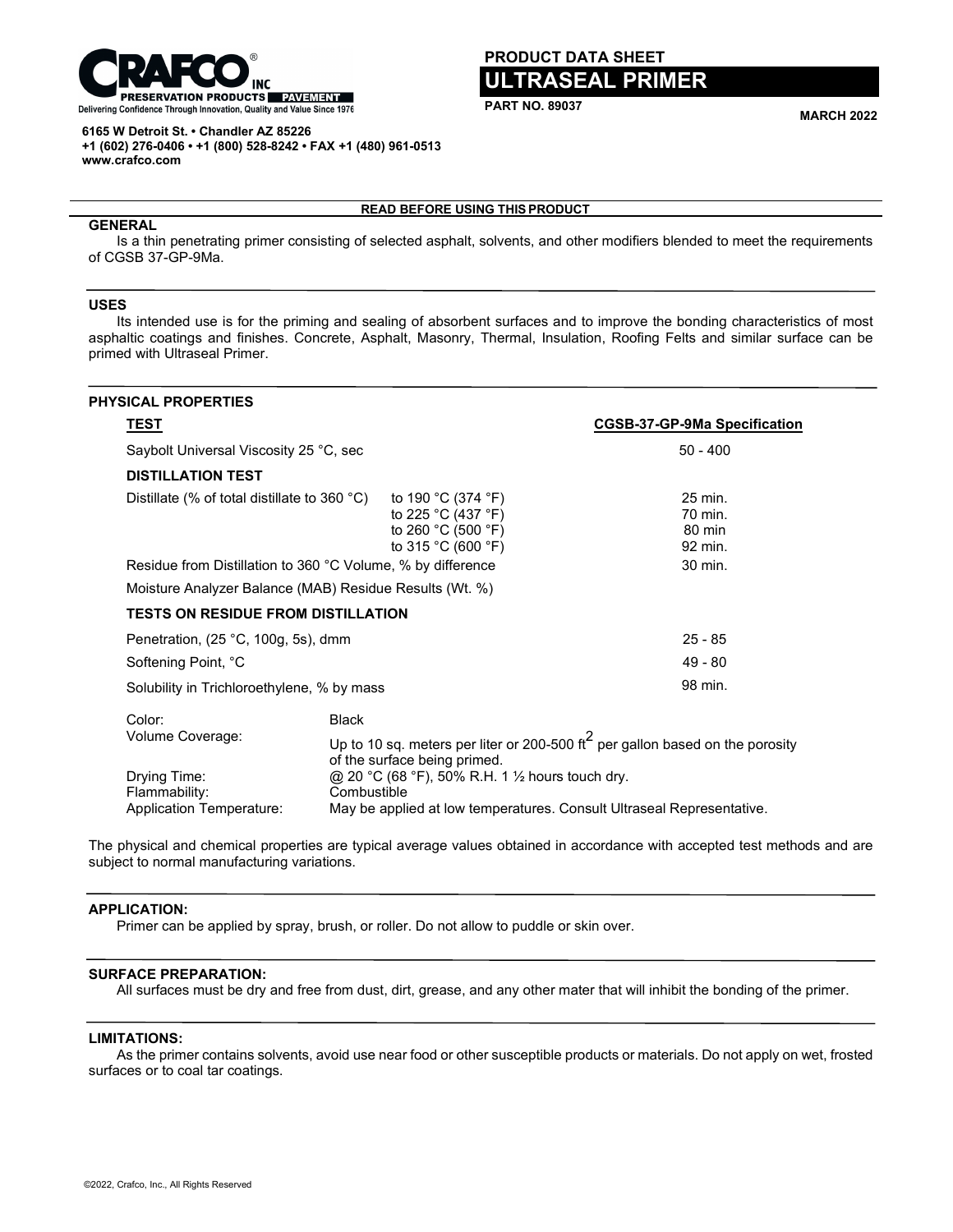

#### **6165 W Detroit St. • Chandler AZ 85226 +1 (602) 276-0406 • +1 (800) 528-8242 • FAX +1 (480) 961-0513 www.crafco.com**

# **PRODUCT DATA SHEET**

# **ULTRASEAL PRIMER**

**PART NO. 89037 MARCH <sup>2022</sup>**

# **READ BEFORE USING THIS PRODUCT**

# **GENERAL**

Is a thin penetrating primer consisting of selected asphalt, solvents, and other modifiers blended to meet the requirements of CGSB 37-GP-9Ma.

# **USES**

Its intended use is for the priming and sealing of absorbent surfaces and to improve the bonding characteristics of most asphaltic coatings and finishes. Concrete, Asphalt, Masonry, Thermal, Insulation, Roofing Felts and similar surface can be primed with Ultraseal Primer.

| <b>PHYSICAL PROPERTIES</b>                                                                                                                     |                                                                                                                           |                                         |                                     |
|------------------------------------------------------------------------------------------------------------------------------------------------|---------------------------------------------------------------------------------------------------------------------------|-----------------------------------------|-------------------------------------|
| <u>TEST</u>                                                                                                                                    |                                                                                                                           |                                         | <b>CGSB-37-GP-9Ma Specification</b> |
| Saybolt Universal Viscosity 25 °C, sec                                                                                                         |                                                                                                                           |                                         | $50 - 400$                          |
| <b>DISTILLATION TEST</b>                                                                                                                       |                                                                                                                           |                                         |                                     |
| to 190 °C (374 °F)<br>Distillate (% of total distillate to 360 $^{\circ}$ C)<br>to 225 °C (437 °F)<br>to 260 °C (500 °F)<br>to 315 °C (600 °F) |                                                                                                                           | 25 min.<br>70 min.<br>80 min<br>92 min. |                                     |
| Residue from Distillation to 360 °C Volume, % by difference                                                                                    |                                                                                                                           |                                         | 30 min.                             |
| Moisture Analyzer Balance (MAB) Residue Results (Wt. %)                                                                                        |                                                                                                                           |                                         |                                     |
| <b>TESTS ON RESIDUE FROM DISTILLATION</b>                                                                                                      |                                                                                                                           |                                         |                                     |
| Penetration, (25 °C, 100g, 5s), dmm                                                                                                            |                                                                                                                           |                                         | $25 - 85$                           |
| Softening Point, °C                                                                                                                            |                                                                                                                           |                                         | $49 - 80$                           |
| Solubility in Trichloroethylene, % by mass                                                                                                     |                                                                                                                           |                                         | 98 min.                             |
| Color:<br>Volume Coverage:                                                                                                                     | <b>Black</b>                                                                                                              |                                         |                                     |
|                                                                                                                                                | Up to 10 sq. meters per liter or 200-500 ft <sup>2</sup> per gallon based on the porosity<br>of the surface being primed. |                                         |                                     |
| Drying Time:<br>Flammability:                                                                                                                  | @ 20 °C (68 °F), 50% R.H. 1 1/2 hours touch dry.<br>Combustible                                                           |                                         |                                     |
| Application Temperature:                                                                                                                       | May be applied at low temperatures. Consult Ultraseal Representative.                                                     |                                         |                                     |

The physical and chemical properties are typical average values obtained in accordance with accepted test methods and are subject to normal manufacturing variations.

# **APPLICATION:**

Primer can be applied by spray, brush, or roller. Do not allow to puddle or skin over.

# **SURFACE PREPARATION:**

All surfaces must be dry and free from dust, dirt, grease, and any other mater that will inhibit the bonding of the primer.

### **LIMITATIONS:**

As the primer contains solvents, avoid use near food or other susceptible products or materials. Do not apply on wet, frosted surfaces or to coal tar coatings.